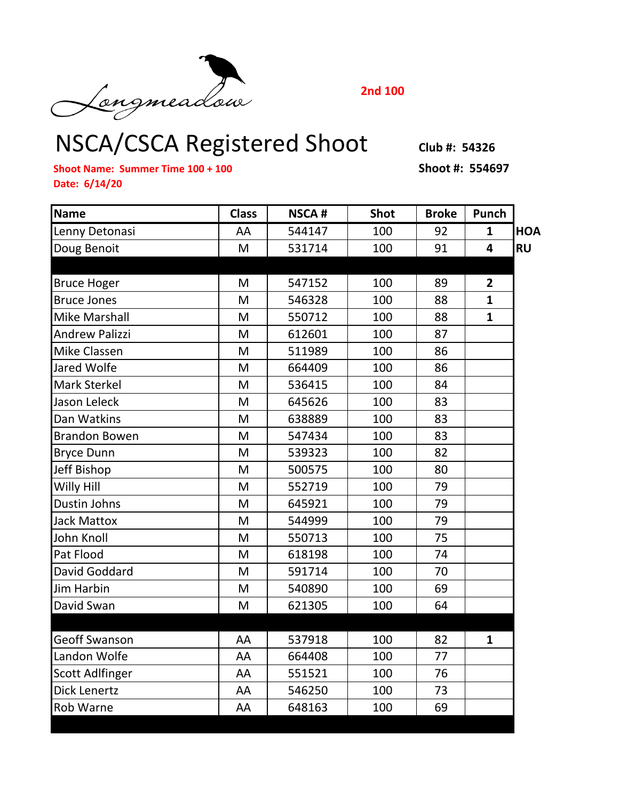Congmeadou 2nd 100<br>NSCA/CSCA Registered Shoot Club #: 54326

**2nd 100**

**Shoot Name: Summer Time 100 + 100 Shoot #: 554697 Date: 6/14/20**

| <b>Name</b>            | <b>Class</b> | <b>NSCA#</b> | <b>Shot</b> | <b>Broke</b> | Punch          |            |
|------------------------|--------------|--------------|-------------|--------------|----------------|------------|
| Lenny Detonasi         | AA           | 544147       | 100         | 92           | $\mathbf{1}$   | <b>HOA</b> |
| Doug Benoit            | M            | 531714       | 100         | 91           | 4              | <b>RU</b>  |
|                        |              |              |             |              |                |            |
| <b>Bruce Hoger</b>     | M            | 547152       | 100         | 89           | $\overline{2}$ |            |
| <b>Bruce Jones</b>     | M            | 546328       | 100         | 88           | $\mathbf{1}$   |            |
| <b>Mike Marshall</b>   | M            | 550712       | 100         | 88           | $\mathbf{1}$   |            |
| <b>Andrew Palizzi</b>  | M            | 612601       | 100         | 87           |                |            |
| Mike Classen           | M            | 511989       | 100         | 86           |                |            |
| Jared Wolfe            | M            | 664409       | 100         | 86           |                |            |
| Mark Sterkel           | M            | 536415       | 100         | 84           |                |            |
| Jason Leleck           | M            | 645626       | 100         | 83           |                |            |
| Dan Watkins            | M            | 638889       | 100         | 83           |                |            |
| <b>Brandon Bowen</b>   | M            | 547434       | 100         | 83           |                |            |
| <b>Bryce Dunn</b>      | M            | 539323       | 100         | 82           |                |            |
| Jeff Bishop            | M            | 500575       | 100         | 80           |                |            |
| Willy Hill             | M            | 552719       | 100         | 79           |                |            |
| Dustin Johns           | M            | 645921       | 100         | 79           |                |            |
| <b>Jack Mattox</b>     | M            | 544999       | 100         | 79           |                |            |
| John Knoll             | M            | 550713       | 100         | 75           |                |            |
| Pat Flood              | M            | 618198       | 100         | 74           |                |            |
| David Goddard          | M            | 591714       | 100         | 70           |                |            |
| <b>Jim Harbin</b>      | M            | 540890       | 100         | 69           |                |            |
| David Swan             | M            | 621305       | 100         | 64           |                |            |
|                        |              |              |             |              |                |            |
| <b>Geoff Swanson</b>   | AA           | 537918       | 100         | 82           | $\mathbf{1}$   |            |
| Landon Wolfe           | AA           | 664408       | 100         | 77           |                |            |
| <b>Scott Adlfinger</b> | AA           | 551521       | 100         | 76           |                |            |
| Dick Lenertz           | AA           | 546250       | 100         | 73           |                |            |
| <b>Rob Warne</b>       | AA           | 648163       | 100         | 69           |                |            |